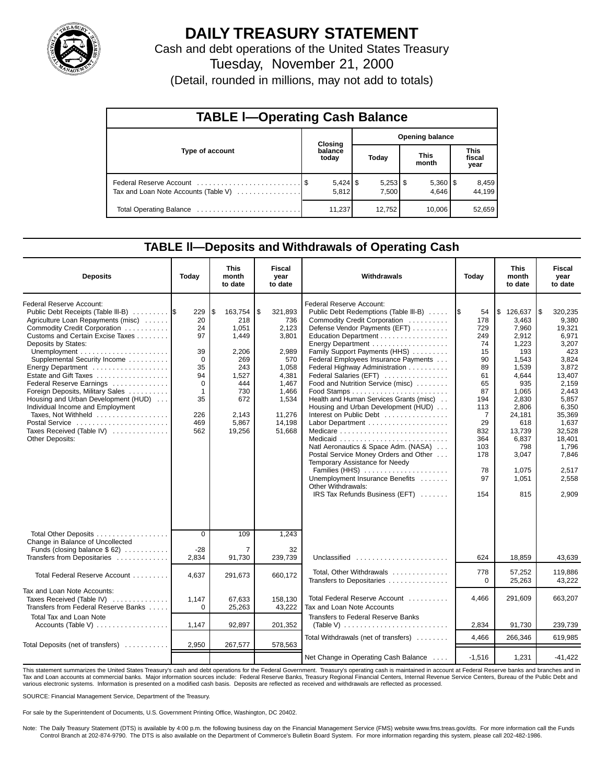

# **DAILY TREASURY STATEMENT**

Cash and debt operations of the United States Treasury

Tuesday, November 21, 2000

(Detail, rounded in millions, may not add to totals)

| <b>TABLE I-Operating Cash Balance</b> |  |                     |                        |                     |  |                       |  |                               |  |  |
|---------------------------------------|--|---------------------|------------------------|---------------------|--|-----------------------|--|-------------------------------|--|--|
|                                       |  | <b>Closing</b>      | <b>Opening balance</b> |                     |  |                       |  |                               |  |  |
| Type of account                       |  | balance<br>today    |                        | Today               |  | <b>This</b><br>month  |  | <b>This</b><br>fiscal<br>year |  |  |
| Tax and Loan Note Accounts (Table V)  |  | $5,424$ \$<br>5.812 |                        | $5,253$ \$<br>7.500 |  | $5,360$   \$<br>4.646 |  | 8,459<br>44.199               |  |  |
| Total Operating Balance               |  | 11,237              |                        | 12,752              |  | 10.006                |  | 52,659                        |  |  |

### **TABLE ll—Deposits and Withdrawals of Operating Cash**

| <b>Deposits</b>                                                                                                                                                                                                                                                                                                                                                                                                                                                                                                   | Today                                                                                                    | <b>This</b><br>month<br>to date                                                                                           | Fiscal<br>vear<br>to date                                                                                                         | Withdrawals                                                                                                                                                                                                                                                                                                                                                                                                                                                                                                                                                                                                                                                                                            | Today                                                                                                                                                         | <b>This</b><br>month<br>to date                                                                                                                                                                | <b>Fiscal</b><br>year<br>to date                                                                                                                                                                               |
|-------------------------------------------------------------------------------------------------------------------------------------------------------------------------------------------------------------------------------------------------------------------------------------------------------------------------------------------------------------------------------------------------------------------------------------------------------------------------------------------------------------------|----------------------------------------------------------------------------------------------------------|---------------------------------------------------------------------------------------------------------------------------|-----------------------------------------------------------------------------------------------------------------------------------|--------------------------------------------------------------------------------------------------------------------------------------------------------------------------------------------------------------------------------------------------------------------------------------------------------------------------------------------------------------------------------------------------------------------------------------------------------------------------------------------------------------------------------------------------------------------------------------------------------------------------------------------------------------------------------------------------------|---------------------------------------------------------------------------------------------------------------------------------------------------------------|------------------------------------------------------------------------------------------------------------------------------------------------------------------------------------------------|----------------------------------------------------------------------------------------------------------------------------------------------------------------------------------------------------------------|
| Federal Reserve Account:<br>Public Debt Receipts (Table III-B)<br>Agriculture Loan Repayments (misc)<br>Commodity Credit Corporation<br>Customs and Certain Excise Taxes<br>Deposits by States:<br>Supplemental Security Income<br>Energy Department<br>Estate and Gift Taxes<br>Federal Reserve Earnings<br>Foreign Deposits, Military Sales<br>Housing and Urban Development (HUD)<br>Individual Income and Employment<br>Taxes, Not Withheld<br>Postal Service<br>Taxes Received (Table IV)<br>Other Deposits: | 229<br>20<br>24<br>97<br>39<br>$\overline{0}$<br>35<br>94<br>$\mathbf 0$<br>1<br>35<br>226<br>469<br>562 | 163,754<br>l \$<br>218<br>1,051<br>1,449<br>2,206<br>269<br>243<br>1,527<br>444<br>730<br>672<br>2,143<br>5,867<br>19,256 | \$<br>321,893<br>736<br>2,123<br>3,801<br>2,989<br>570<br>1,058<br>4,381<br>1,467<br>1,466<br>1,534<br>11,276<br>14,198<br>51,668 | Federal Reserve Account:<br>Public Debt Redemptions (Table III-B)<br>Commodity Credit Corporation<br>Defense Vendor Payments (EFT)<br>Education Department<br>Energy Department<br>Family Support Payments (HHS)<br>Federal Employees Insurance Payments<br>Federal Highway Administration<br>Federal Salaries (EFT)<br>Food and Nutrition Service (misc)<br>Health and Human Services Grants (misc)<br>Housing and Urban Development (HUD)<br>Interest on Public Debt<br>Natl Aeronautics & Space Adm. (NASA)<br>Postal Service Money Orders and Other<br>Temporary Assistance for Needy<br>Families (HHS)<br>Unemployment Insurance Benefits<br>Other Withdrawals:<br>IRS Tax Refunds Business (EFT) | 1\$<br>54<br>178<br>729<br>249<br>74<br>15<br>90<br>89<br>61<br>65<br>87<br>194<br>113<br>$\overline{7}$<br>29<br>832<br>364<br>103<br>178<br>78<br>97<br>154 | \$126,637<br>3,463<br>7,960<br>2,912<br>1,223<br>193<br>1,543<br>1,539<br>4,644<br>935<br>1,065<br>2,830<br>2,806<br>24,181<br>618<br>13,739<br>6,837<br>798<br>3,047<br>1,075<br>1,051<br>815 | 320,235<br>1\$<br>9,380<br>19,321<br>6,971<br>3,207<br>423<br>3,824<br>3,872<br>13,407<br>2,159<br>2.443<br>5,857<br>6,350<br>35,369<br>1,637<br>32,528<br>18,401<br>1,796<br>7,846<br>2,517<br>2,558<br>2,909 |
| Total Other Deposits<br>Change in Balance of Uncollected                                                                                                                                                                                                                                                                                                                                                                                                                                                          | $\overline{0}$                                                                                           | 109                                                                                                                       | 1,243                                                                                                                             |                                                                                                                                                                                                                                                                                                                                                                                                                                                                                                                                                                                                                                                                                                        |                                                                                                                                                               |                                                                                                                                                                                                |                                                                                                                                                                                                                |
| Funds (closing balance $$62)$<br>Transfers from Depositaries                                                                                                                                                                                                                                                                                                                                                                                                                                                      | -28<br>2,834                                                                                             | 7<br>91,730                                                                                                               | 32<br>239,739                                                                                                                     | Unclassified                                                                                                                                                                                                                                                                                                                                                                                                                                                                                                                                                                                                                                                                                           | 624                                                                                                                                                           | 18,859                                                                                                                                                                                         | 43,639                                                                                                                                                                                                         |
| Total Federal Reserve Account                                                                                                                                                                                                                                                                                                                                                                                                                                                                                     | 4,637                                                                                                    | 291,673                                                                                                                   | 660,172                                                                                                                           | Total, Other Withdrawals<br>Transfers to Depositaries                                                                                                                                                                                                                                                                                                                                                                                                                                                                                                                                                                                                                                                  | 778<br>$\Omega$                                                                                                                                               | 57,252<br>25,263                                                                                                                                                                               | 119,886<br>43,222                                                                                                                                                                                              |
| Tax and Loan Note Accounts:<br>Taxes Received (Table IV)<br>Transfers from Federal Reserve Banks                                                                                                                                                                                                                                                                                                                                                                                                                  | 1,147<br>$\Omega$                                                                                        | 67,633<br>25,263                                                                                                          | 158.130<br>43,222                                                                                                                 | Total Federal Reserve Account<br>Tax and Loan Note Accounts                                                                                                                                                                                                                                                                                                                                                                                                                                                                                                                                                                                                                                            | 4.466                                                                                                                                                         | 291.609                                                                                                                                                                                        | 663,207                                                                                                                                                                                                        |
| <b>Total Tax and Loan Note</b><br>Accounts (Table V) $\dots \dots \dots \dots \dots$                                                                                                                                                                                                                                                                                                                                                                                                                              | 1,147                                                                                                    | 92,897                                                                                                                    | 201,352                                                                                                                           | Transfers to Federal Reserve Banks                                                                                                                                                                                                                                                                                                                                                                                                                                                                                                                                                                                                                                                                     | 2,834                                                                                                                                                         | 91,730                                                                                                                                                                                         | 239,739                                                                                                                                                                                                        |
| Total Deposits (net of transfers)                                                                                                                                                                                                                                                                                                                                                                                                                                                                                 | 2,950                                                                                                    | 267,577                                                                                                                   | 578,563                                                                                                                           | Total Withdrawals (net of transfers)                                                                                                                                                                                                                                                                                                                                                                                                                                                                                                                                                                                                                                                                   | 4,466                                                                                                                                                         | 266,346                                                                                                                                                                                        | 619,985                                                                                                                                                                                                        |
|                                                                                                                                                                                                                                                                                                                                                                                                                                                                                                                   |                                                                                                          |                                                                                                                           |                                                                                                                                   | Net Change in Operating Cash Balance                                                                                                                                                                                                                                                                                                                                                                                                                                                                                                                                                                                                                                                                   | $-1,516$                                                                                                                                                      | 1,231                                                                                                                                                                                          | $-41.422$                                                                                                                                                                                                      |

This statement summarizes the United States Treasury's cash and debt operations for the Federal Government. Treasury's operating cash is maintained in account at Federal Reserve banks and branches and in<br>Tax and Loan accou various electronic systems. Information is presented on a modified cash basis. Deposits are reflected as received and withdrawals are reflected as processed.

SOURCE: Financial Management Service, Department of the Treasury.

For sale by the Superintendent of Documents, U.S. Government Printing Office, Washington, DC 20402.

Note: The Daily Treasury Statement (DTS) is available by 4:00 p.m. the following business day on the Financial Management Service (FMS) website www.fms.treas.gov/dts. For more information call the Funds Control Branch at 202-874-9790. The DTS is also available on the Department of Commerce's Bulletin Board System. For more information regarding this system, please call 202-482-1986.